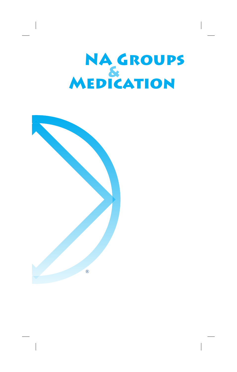# NA GROUPS<br>MEDICATION

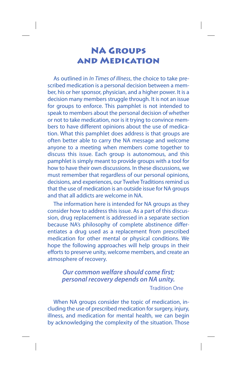# **NA Groups and Medication**

As outlined in In Times of Illness, the choice to take prescribed medication is a personal decision between a member, his or her sponsor, physician, and a higher power. It is a decision many members struggle through. It is not an issue for groups to enforce. This pamphlet is not intended to speak to members about the personal decision of whether or not to take medication, nor is it trying to convince members to have different opinions about the use of medication. What this pamphlet does address is that groups are often better able to carry the NA message and welcome anyone to a meeting when members come together to discuss this issue. Each group is autonomous, and this pamphlet is simply meant to provide groups with a tool for how to have their own discussions. In these discussions, we must remember that regardless of our personal opinions, decisions, and experiences, our Twelve Traditions remind us that the use of medication is an outside issue for NA groups and that all addicts are welcome in NA.

The information here is intended for NA groups as they consider how to address this issue. As a part of this discussion, drug replacement is addressed in a separate section because NA's philosophy of complete abstinence differentiates a drug used as a replacement from prescribed medication for other mental or physical conditions. We hope the following approaches will help groups in their efforts to preserve unity, welcome members, and create an atmosphere of recovery.

#### *Our common welfare should come first; personal recovery depends on NA unity.* Tradition One

When NA groups consider the topic of medication, including the use of prescribed medication for surgery, injury, illness, and medication for mental health, we can begin by acknowledging the complexity of the situation. Those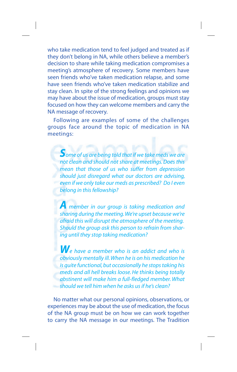who take medication tend to feel judged and treated as if they don't belong in NA, while others believe a member's decision to share while taking medication compromises a meeting's atmosphere of recovery. Some members have seen friends who've taken medication relapse, and some have seen friends who've taken medication stabilize and stay clean. In spite of the strong feelings and opinions we may have about the issue of medication, groups must stay focused on how they can welcome members and carry the NA message of recovery.

Following are examples of some of the challenges groups face around the topic of medication in NA meetings:

*Some of us are being told that if we take meds we are not clean and should not share at meetings. Does this mean that those of us who suffer from depression should just disregard what our doctors are advising, even if we only take our meds as prescribed? Do I even belong in this fellowship?*

*A member in our group is taking medication and sharing during the meeting. We're upset because we're afraid this will disrupt the atmosphere of the meeting. Should the group ask this person to refrain from sharing until they stop taking medication?*

*We have a member who is an addict and who is obviously mentally ill. When he is on his medication he is quite functional, but occasionally he stops taking his meds and all hell breaks loose. He thinks being totally abstinent will make him a full-fledged member. What should we tell him when he asks us if he's clean?*

No matter what our personal opinions, observations, or experiences may be about the use of medication, the focus of the NA group must be on how we can work together to carry the NA message in our meetings. The Tradition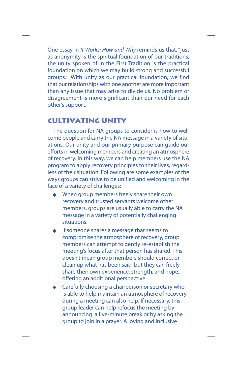One essay in It Works: How and Why reminds us that, "just as anonymity is the spiritual foundation of our traditions, the unity spoken of in the First Tradition is the practical foundation on which we may build strong and successful groups." With unity as our practical foundation, we find that our relationships with one another are more important than any issue that may arise to divide us. No problem or disagreement is more significant than our need for each other's support.

## **Cultivating Unity**

The question for NA groups to consider is how to welcome people and carry the NA message in a variety of situations. Our unity and our primary purpose can guide our efforts in welcoming members and creating an atmosphere of recovery. In this way, we can help members use the NA program to apply recovery principles to their lives, regardless of their situation. Following are some examples of the ways groups can strive to be unified and welcoming in the face of a variety of challenges:

- When group members freely share their own recovery and trusted servants welcome other members, groups are usually able to carry the NA message in a variety of potentially challenging situations.
- If someone shares a message that seems to compromise the atmosphere of recovery, group members can attempt to gently re-establish the meeting's focus after that person has shared. This doesn't mean group members should correct or clean up what has been said, but they can freely share their own experience, strength, and hope, offering an additional perspective.
- Carefully choosing a chairperson or secretary who is able to help maintain an atmosphere of recovery during a meeting can also help. If necessary, this group leader can help refocus the meeting by announcing a five-minute break or by asking the group to join in a prayer. A loving and inclusive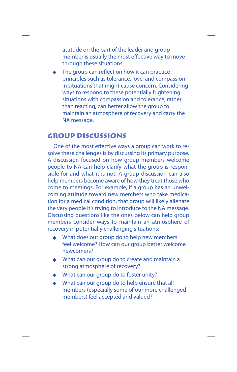attitude on the part of the leader and group member is usually the most effective way to move through these situations.

The group can reflect on how it can practice principles such as tolerance, love, and compassion in situations that might cause concern. Considering ways to respond to these potentially frightening situations with compassion and tolerance, rather than reacting, can better allow the group to maintain an atmosphere of recovery and carry the NA message.

#### **Group Discussions**

One of the most effective ways a group can work to resolve these challenges is by discussing its primary purpose. A discussion focused on how group members welcome people to NA can help clarify what the group is responsible for and what it is not. A group discussion can also help members become aware of how they treat those who come to meetings. For example, if a group has an unwelcoming attitude toward new members who take medication for a medical condition, that group will likely alienate the very people it's trying to introduce to the NA message. Discussing questions like the ones below can help group members consider ways to maintain an atmosphere of recovery in potentially challenging situations:

- What does our group do to help new members feel welcome? How can our group better welcome newcomers?
- What can our group do to create and maintain a strong atmosphere of recovery?
- What can our group do to foster unity?
- What can our group do to help ensure that all members (especially some of our more challenged members) feel accepted and valued?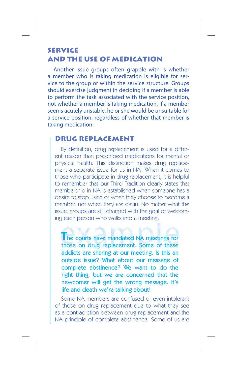### **Service and the Use of Medication**

Another issue groups often grapple with is whether a member who is taking medication is eligible for service to the group or within the service structure. Groups should exercise judgment in deciding if a member is able to perform the task associated with the service position, not whether a member is taking medication. If a member seems acutely unstable, he or she would be unsuitable for a service position, regardless of whether that member is taking medication.

#### **DRUG REPLACEMENT**

By definition, drug replacement is used for a different reason than prescribed medications for mental or physical health. This distinction makes drug replacement a separate issue for us in NA. When it comes to those who participate in drug replacement, it is helpful to remember that our Third Tradition clearly states that membership in NA is established when someone has a desire to stop using or when they choose to become a member, not when they are clean. No matter what the issue, groups are still charged with the goal of welcoming each person who walks into a meeting.

**The courts have mandated NA meetings for** those on drug replacement. Some of these addicts are sharing at our meeting. Is this an outside issue? What about our message of complete abstinence? We want to do the right thing, but we are concerned that the newcomer will get the wrong message. It's life and death we're talking about!

Some NA members are confused or even intolerant of those on drug replacement due to what they see as a contradiction between drug replacement and the NA principle of complete abstinence. Some of us are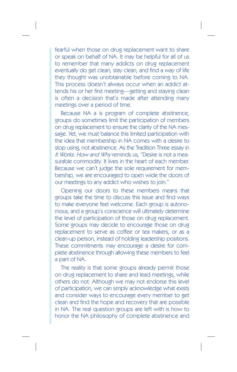fearful when those on drug replacement want to share or speak on behalf of NA. It may be helpful for all of us to remember that many addicts on drug replacement eventually do get clean, stay clean, and find a way of life they thought was unobtainable before coming to NA. This process doesn't always occur when an addict attends his or her first meeting—getting and staying clean is often a decision that's made after attending many meetings over a period of time.

Because NA a is program of complete abstinence, groups do sometimes limit the participation of members on drug replacement to ensure the clarity of the NA message. Yet, we must balance this limited participation with the idea that membership in NA comes with a desire to stop using, not abstinence. As the Tradition Three essay in It Works: How and Why reminds us, "Desire is not a measurable commodity. It lives in the heart of each member. Because we can't judge the sole requirement for membership, we are encouraged to open wide the doors of our meetings to any addict who wishes to join."

Opening our doors to these members means that groups take the time to discuss this issue and find ways to make everyone feel welcome. Each group is autonomous, and a group's conscience will ultimately determine the level of participation of those on drug replacement. Some groups may decide to encourage those on drug replacement to serve as coffee or tea makers, or as a clean-up person, instead of holding leadership positions. These commitments may encourage a desire for complete abstinence through allowing these members to feel a part of NA.

The reality is that some groups already permit those on drug replacement to share and lead meetings, while others do not. Although we may not endorse this level of participation, we can simply acknowledge what exists and consider ways to encourage every member to get clean and find the hope and recovery that are possible in NA. The real question groups are left with is how to honor the NA philosophy of complete abstinence and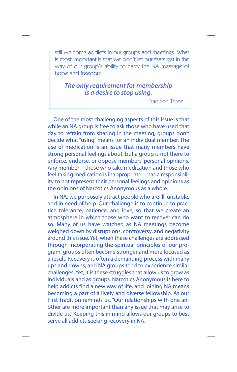still welcome addicts in our groups and meetings. What is most important is that we don't let our fears get in the way of our group's ability to carry the NA message of hope and freedom.

#### *The only requirement for membership is a desire to stop using.*

Tradition Three

One of the most challenging aspects of this issue is that while an NA group is free to ask those who have used that day to refrain from sharing in the meeting, groups don't decide what "using" means for an individual member. The use of medication is an issue that many members have strong personal feelings about, but a group is not there to enforce, endorse, or oppose members' personal opinions. Any member—those who take medication and those who feel taking medication is inappropriate—has a responsibility to not represent their personal feelings and opinions as the opinions of Narcotics Anonymous as a whole.

In NA, we purposely attract people who are ill, unstable, and in need of help. Our challenge is to continue to practice tolerance, patience, and love, so that we create an atmosphere in which those who want to recover can do so. Many of us have watched as NA meetings become weighed down by disruptions, controversy, and negativity around this issue. Yet, when these challenges are addressed through incorporating the spiritual principles of our program, groups often become stronger and more focused as a result. Recovery is often a demanding process with many ups and downs, and NA groups tend to experience similar challenges. Yet, it is these struggles that allow us to grow as individuals and as groups. Narcotics Anonymous is here to help addicts find a new way of life, and joining NA means becoming a part of a lively and diverse fellowship. As our First Tradition reminds us, "Our relationships with one another are more important than any issue that may arise to divide us." Keeping this in mind allows our groups to best serve all addicts seeking recovery in NA.